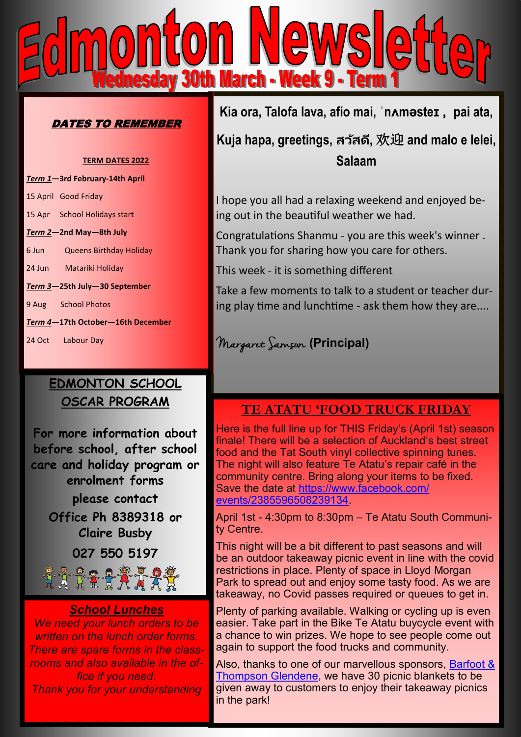

### DATES TO REMEMBER

#### **TERM DATES 2022**

*Term 1***—3rd February-14th April** 15 April Good Friday 15 Apr School Holidays start *Term 2***—2nd May—8th July** 6 Jun Queens Birthday Holiday 24 Jun Matariki Holiday *Term 3***—25th July—30 September** 9 Aug School Photos *Term 4***—17th October—16th December**

24 Oct Labour Day

# **EDMONTON SCHOOL OSCAR PROGRAM**

**For more information about before school, after school care and holiday program or enrolment forms please contact Office Ph 8389318 or Claire Busby 027 550 5197**27 Trix # 7 X

## *School Lunches*

*We need your lunch orders to be written on the lunch order forms. There are spare forms in the classrooms and also available in the office if you need. Thank you for your understanding*

**Kia ora, Talofa lava, afio mai, ˈnʌməsteɪ , pai ata,** 

**Kuja hapa, greetings, สว ัสดี,** 欢迎 **and malo e lelei, Salaam**

I hope you all had a relaxing weekend and enjoyed being out in the beautiful weather we had.

Congratulations Shanmu - you are this week's winner . Thank you for sharing how you care for others.

This week - it is something different

Take a few moments to talk to a student or teacher during play time and lunchtime - ask them how they are....

Margaret Samson **(Principal)**

## **TE ATATU 'FOOD TRUCK FRIDAY**

Here is the full line up for THIS Friday's (April 1st) season finale! There will be a selection of Auckland's best street food and the Tat South vinyl collective spinning tunes. The night will also feature Te Atatu's repair café in the community centre. Bring along your items to be fixed. Save the date at [https://www.facebook.com/](https://www.facebook.com/events/2385596508239134/?__cft__%5b0%5d=AZW4NJ3KhLxKSX5q_GgpdetCEc6Q8pdIZ0tGaY3jbent0AuTCi9GgcbQz19HDF_BpCABrqfT7cP14Hkvt_h4ZPkKF4p6DLIbhubJk3kxWmssP2ap-veNwRnKkiaoIYpl1A_nlJD2QapZiJXpWibu8DtI&__tn__=-UK-R) [events/2385596508239134.](https://www.facebook.com/events/2385596508239134/?__cft__%5b0%5d=AZW4NJ3KhLxKSX5q_GgpdetCEc6Q8pdIZ0tGaY3jbent0AuTCi9GgcbQz19HDF_BpCABrqfT7cP14Hkvt_h4ZPkKF4p6DLIbhubJk3kxWmssP2ap-veNwRnKkiaoIYpl1A_nlJD2QapZiJXpWibu8DtI&__tn__=-UK-R)

April 1st - 4:30pm to 8:30pm – Te Atatu South Community Centre.

This night will be a bit different to past seasons and will be an outdoor takeaway picnic event in line with the covid restrictions in place. Plenty of space in Lloyd Morgan Park to spread out and enjoy some tasty food. As we are takeaway, no Covid passes required or queues to get in.

Plenty of parking available. Walking or cycling up is even easier. Take part in the Bike Te Atatu buycycle event with a chance to win prizes. We hope to see people come out again to support the food trucks and community.

Also, thanks to one of our marvellous sponsors, [Barfoot &](https://www.facebook.com/BarfootGlendene/?__cft__%5b0%5d=AZUmV2tyH6XRuhI-FHA1jSqdgiJWfbx3QyNX0V02-YS0tYefei7nZ4AWNJbLR6QITtVUYvd8MBAP50LNVYIx3x_k0yMUJXsguJbWxoMl-se50qn_Jf2nMI-Q9vutAZFHByV4lgm8Q3n9ni_x5Hw9cORUrc5-FE7WjhoFFKBSLFwMCQ&__tn__=kK-y-R)  [Thompson Glendene,](https://www.facebook.com/BarfootGlendene/?__cft__%5b0%5d=AZUmV2tyH6XRuhI-FHA1jSqdgiJWfbx3QyNX0V02-YS0tYefei7nZ4AWNJbLR6QITtVUYvd8MBAP50LNVYIx3x_k0yMUJXsguJbWxoMl-se50qn_Jf2nMI-Q9vutAZFHByV4lgm8Q3n9ni_x5Hw9cORUrc5-FE7WjhoFFKBSLFwMCQ&__tn__=kK-y-R) we have 30 picnic blankets to be given away to customers to enjoy their takeaway picnics in the park!